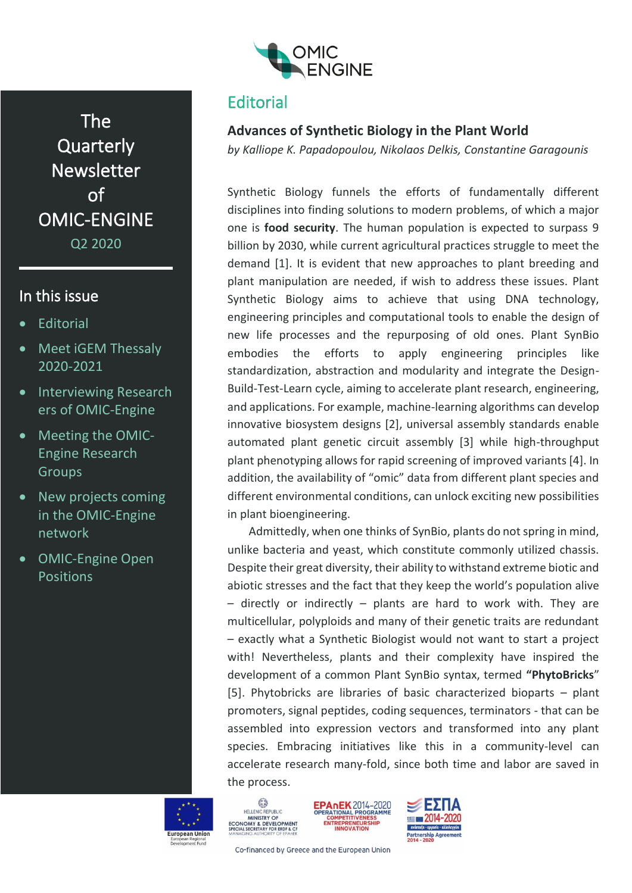

The **Quarterly** Newsletter of OMIC-ENGINE Q2 2020

# In this issue

- **Editorial**
- Meet iGEM Thessaly 2020-2021
- Interviewing Research ers of OMIC-Engine
- Meeting the OMIC-Engine Research Groups
- New projects coming in the OMIC-Engine network
- OMIC-Engine Open Positions

# **Editorial**

# **Advances of Synthetic Biology in the Plant World**

*by Kalliope K. Papadopoulou, Nikolaos Delkis, Constantine Garagounis*

Synthetic Biology funnels the efforts of fundamentally different disciplines into finding solutions to modern problems, of which a major one is **food security**. The human population is expected to surpass 9 billion by 2030, while current agricultural practices struggle to meet the demand [1]. It is evident that new approaches to plant breeding and plant manipulation are needed, if wish to address these issues. Plant Synthetic Biology aims to achieve that using DNA technology, engineering principles and computational tools to enable the design of new life processes and the repurposing of old ones. Plant SynBio embodies the efforts to apply engineering principles like standardization, abstraction and modularity and integrate the Design-Build-Test-Learn cycle, aiming to accelerate plant research, engineering, and applications. For example, machine-learning algorithms can develop innovative biosystem designs [2], universal assembly standards enable automated plant genetic circuit assembly [3] while high-throughput plant phenotyping allows for rapid screening of improved variants [4]. In addition, the availability of "omic" data from different plant species and different environmental conditions, can unlock exciting new possibilities in plant bioengineering.

Admittedly, when one thinks of SynBio, plants do not spring in mind, unlike bacteria and yeast, which constitute commonly utilized chassis. Despite their great diversity, their ability to withstand extreme biotic and abiotic stresses and the fact that they keep the world's population alive  $-$  directly or indirectly  $-$  plants are hard to work with. They are multicellular, polyploids and many of their genetic traits are redundant – exactly what a Synthetic Biologist would not want to start a project with! Nevertheless, plants and their complexity have inspired the development of a common Plant SynBio syntax, termed **"PhytoBricks**" [5]. Phytobricks are libraries of basic characterized bioparts – plant promoters, signal peptides, coding sequences, terminators - that can be assembled into expression vectors and transformed into any plant species. Embracing initiatives like this in a community-level can accelerate research many-fold, since both time and labor are saved in the process.









Co-financed by Greece and the European Union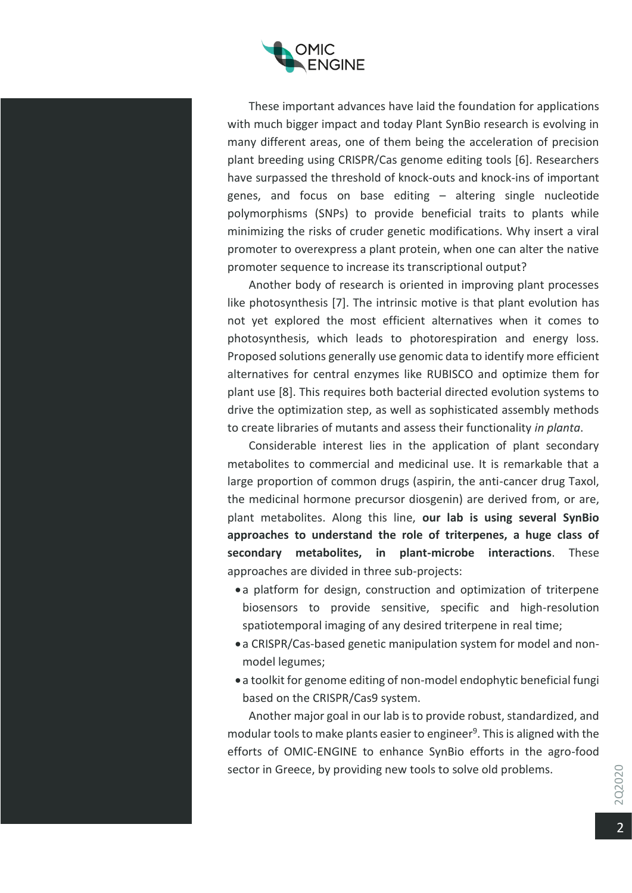

These important advances have laid the foundation for applications with much bigger impact and today Plant SynBio research is evolving in many different areas, one of them being the acceleration of precision plant breeding using CRISPR/Cas genome editing tools [6]. Researchers have surpassed the threshold of knock-outs and knock-ins of important genes, and focus on base editing – altering single nucleotide polymorphisms (SNPs) to provide beneficial traits to plants while minimizing the risks of cruder genetic modifications. Why insert a viral promoter to overexpress a plant protein, when one can alter the native promoter sequence to increase its transcriptional output?

Another body of research is oriented in improving plant processes like photosynthesis [7]. The intrinsic motive is that plant evolution has not yet explored the most efficient alternatives when it comes to photosynthesis, which leads to photorespiration and energy loss. Proposed solutions generally use genomic data to identify more efficient alternatives for central enzymes like RUBISCO and optimize them for plant use [8]. This requires both bacterial directed evolution systems to drive the optimization step, as well as sophisticated assembly methods to create libraries of mutants and assess their functionality *in planta*.

Considerable interest lies in the application of plant secondary metabolites to commercial and medicinal use. It is remarkable that a large proportion of common drugs (aspirin, the anti-cancer drug Taxol, the medicinal hormone precursor diosgenin) are derived from, or are, plant metabolites. Along this line, **our lab is using several SynBio approaches to understand the role of triterpenes, a huge class of secondary metabolites, in plant-microbe interactions**. These approaches are divided in three sub-projects:

- a platform for design, construction and optimization of triterpene biosensors to provide sensitive, specific and high-resolution spatiotemporal imaging of any desired triterpene in real time;
- a CRISPR/Cas-based genetic manipulation system for model and nonmodel legumes;
- a toolkit for genome editing of non-model endophytic beneficial fungi based on the CRISPR/Cas9 system.

Another major goal in our lab is to provide robust, standardized, and modular tools to make plants easier to engineer<sup>9</sup>. This is aligned with the efforts of OMIC-ENGINE to enhance SynBio efforts in the agro-food sector in Greece, by providing new tools to solve old problems.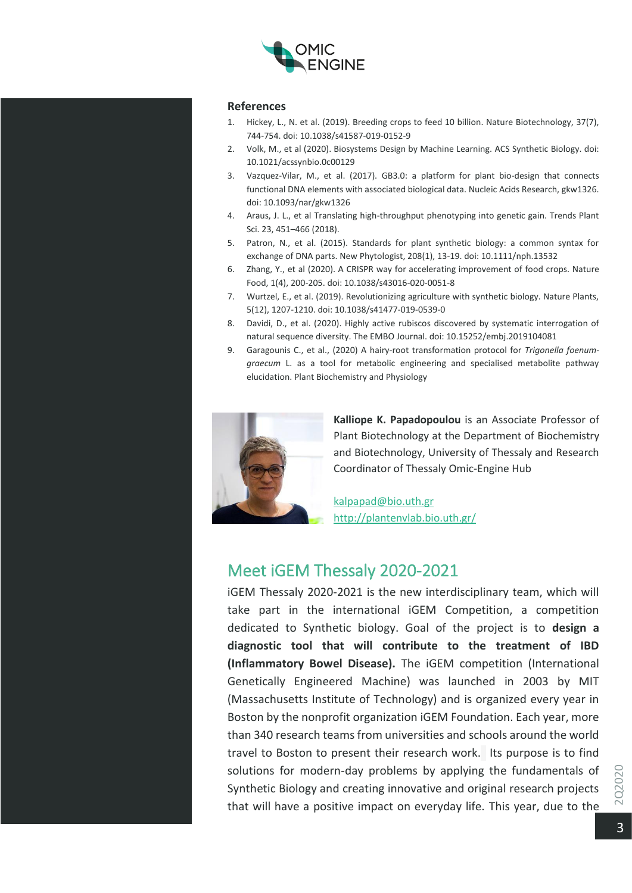

#### **References**

- 1. Hickey, L., N. et al. (2019). Breeding crops to feed 10 billion. Nature Biotechnology, 37(7), 744-754. doi: 10.1038/s41587-019-0152-9
- 2. Volk, M., et al (2020). Biosystems Design by Machine Learning. ACS Synthetic Biology. doi: 10.1021/acssynbio.0c00129
- 3. Vazquez-Vilar, M., et al. (2017). GB3.0: a platform for plant bio-design that connects functional DNA elements with associated biological data. Nucleic Acids Research, gkw1326. doi: 10.1093/nar/gkw1326
- 4. Araus, J. L., et al Translating high-throughput phenotyping into genetic gain. Trends Plant Sci. 23, 451–466 (2018).
- 5. Patron, N., et al. (2015). Standards for plant synthetic biology: a common syntax for exchange of DNA parts. New Phytologist, 208(1), 13-19. doi: 10.1111/nph.13532
- 6. Zhang, Y., et al (2020). A CRISPR way for accelerating improvement of food crops. Nature Food, 1(4), 200-205. doi: 10.1038/s43016-020-0051-8
- 7. Wurtzel, E., et al. (2019). Revolutionizing agriculture with synthetic biology. Nature Plants, 5(12), 1207-1210. doi: 10.1038/s41477-019-0539-0
- 8. Davidi, D., et al. (2020). Highly active rubiscos discovered by systematic interrogation of natural sequence diversity. The EMBO Journal. doi: 10.15252/embj.2019104081
- 9. Garagounis C., et al., (2020) A hairy-root transformation protocol for *Trigonella foenumgraecum* L. as a tool for metabolic engineering and specialised metabolite pathway elucidation. Plant Biochemistry and Physiology



**Kalliope K. Papadopoulou** is an Associate Professor of Plant Biotechnology at the Department of Biochemistry and Biotechnology, University of Thessaly and Research Coordinator of Thessaly Omic-Engine Hub

[kalpapad@bio.uth.gr](mailto:kalpapad@bio.uth.gr) <http://plantenvlab.bio.uth.gr/>

# Meet iGEM Thessaly 2020-2021

iGEM Thessaly 2020-2021 is the new interdisciplinary team, which will take part in the international iGEM Competition, a competition dedicated to Synthetic biology. Goal of the project is to **design a diagnostic tool that will contribute to the treatment of IBD (Inflammatory Bowel Disease).** The iGEM competition (International Genetically Engineered Machine) was launched in 2003 by MIT (Massachusetts Institute of Technology) and is organized every year in Boston by the nonprofit organization iGEM Foundation. Each year, more than 340 research teams from universities and schools around the world travel to Boston to present their research work. Its purpose is to find solutions for modern-day problems by applying the fundamentals of Synthetic Biology and creating innovative and original research projects that will have a positive impact on everyday life. This year, due to the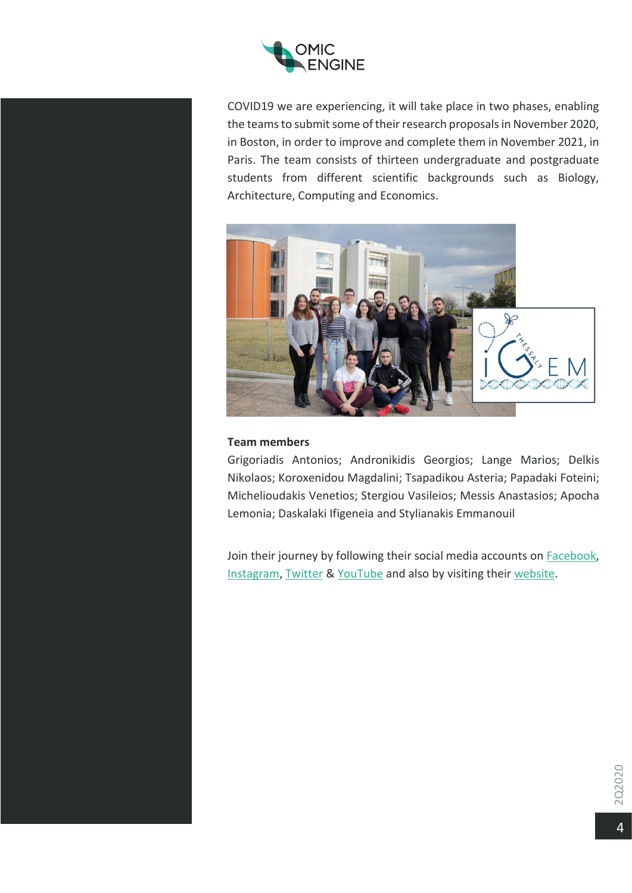

COVID19 we are experiencing, it will take place in two phases, enabling the teams to submit some of their research proposals in November 2020, in Boston, in order to improve and complete them in November 2021, in Paris. The team consists of thirteen undergraduate and postgraduate students from different scientific backgrounds such as Biology, Architecture, Computing and Economics.



#### **Team members**

Grigoriadis Antonios; Andronikidis Georgios; Lange Marios; Delkis Nikolaos; Koroxenidou Magdalini; Tsapadikou Asteria; Papadaki Foteini; Michelioudakis Venetios; Stergiou Vasileios; Messis Anastasios; Apocha Lemonia; Daskalaki Ifigeneia and Stylianakis Emmanouil

Join their journey by following their social media accounts on **Facebook**, [Instagram,](https://www.instagram.com/igemthessaly/) [Twitter](https://twitter.com/igemthessaly) & [YouTube](https://www.youtube.com/channel/UCBHXzFL7r9xxHxqQICznphA/featured) and also by visiting their [website.](http://igem-thessaly.uth.gr/index.html)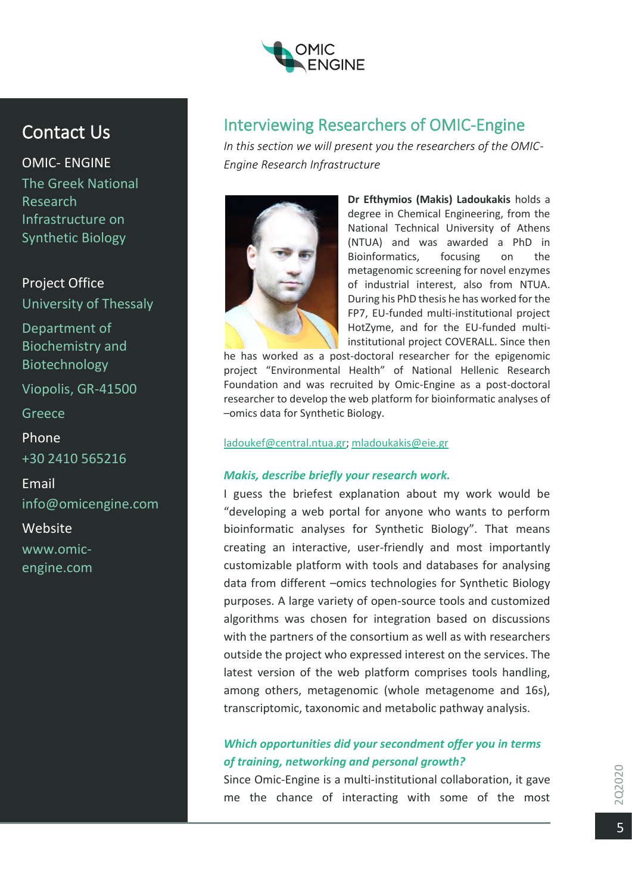

# Contact Us

OMIC- ENGINE The Greek National Research Infrastructure on Synthetic Biology

# Project Office

University of Thessaly

Department of Biochemistry and Biotechnology

Viopolis, GR-41500

Greece

Phone +30 2410 565216

Email info@omicengine.com

Website www.omicengine.com

# Interviewing Researchers of OMIC-Engine

*In this section we will present you the researchers of the OMIC-Engine Research Infrastructure*



**Dr Efthymios (Makis) Ladoukakis** holds a degree in Chemical Engineering, from the National Technical University of Athens (NTUA) and was awarded a PhD in Bioinformatics, focusing on the metagenomic screening for novel enzymes of industrial interest, also from NTUA. During his PhD thesis he has worked for the FP7, EU-funded multi-institutional project HotZyme, and for the EU-funded multiinstitutional project COVERALL. Since then

he has worked as a post-doctoral researcher for the epigenomic project "Environmental Health" of National Hellenic Research Foundation and was recruited by Omic-Engine as a post-doctoral researcher to develop the web platform for bioinformatic analyses of –omics data for Synthetic Biology.

[ladoukef@central.ntua.gr;](mailto:ladoukef@central.ntua.gr) [mladoukakis@eie.gr](mailto:mladoukakis@eie.gr)

## *Makis, describe briefly your research work.*

I guess the briefest explanation about my work would be "developing a web portal for anyone who wants to perform bioinformatic analyses for Synthetic Biology". That means creating an interactive, user-friendly and most importantly customizable platform with tools and databases for analysing data from different –omics technologies for Synthetic Biology purposes. A large variety of open-source tools and customized algorithms was chosen for integration based on discussions with the partners of the consortium as well as with researchers outside the project who expressed interest on the services. The latest version of the web platform comprises tools handling, among others, metagenomic (whole metagenome and 16s), transcriptomic, taxonomic and metabolic pathway analysis.

# *Which opportunities did your secondment offer you in terms of training, networking and personal growth?*

Since Omic-Engine is a multi-institutional collaboration, it gave me the chance of interacting with some of the most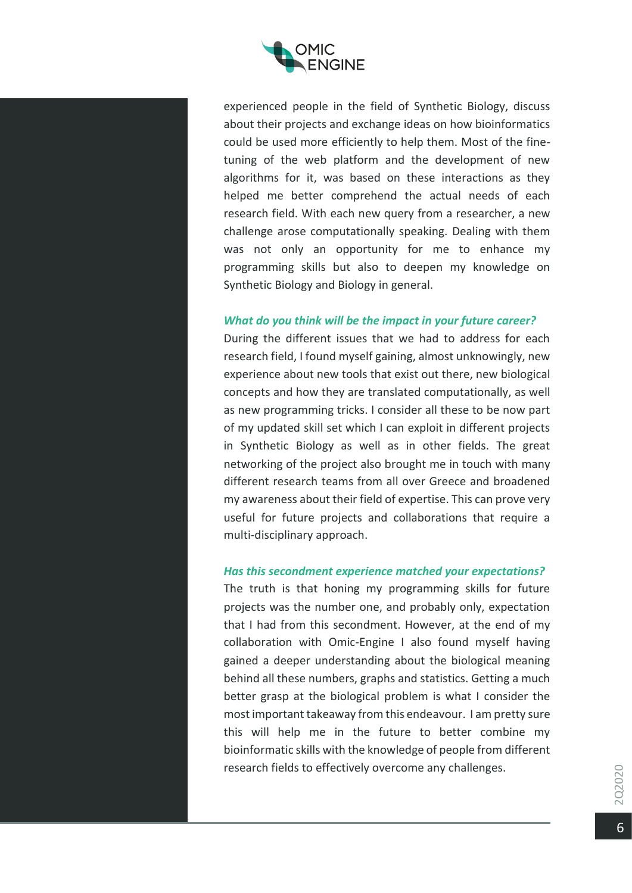

experienced people in the field of Synthetic Biology, discuss about their projects and exchange ideas on how bioinformatics could be used more efficiently to help them. Most of the finetuning of the web platform and the development of new algorithms for it, was based on these interactions as they helped me better comprehend the actual needs of each research field. With each new query from a researcher, a new challenge arose computationally speaking. Dealing with them was not only an opportunity for me to enhance my programming skills but also to deepen my knowledge on Synthetic Biology and Biology in general.

#### *What do you think will be the impact in your future career?*

During the different issues that we had to address for each research field, I found myself gaining, almost unknowingly, new experience about new tools that exist out there, new biological concepts and how they are translated computationally, as well as new programming tricks. I consider all these to be now part of my updated skill set which I can exploit in different projects in Synthetic Biology as well as in other fields. The great networking of the project also brought me in touch with many different research teams from all over Greece and broadened my awareness about their field of expertise. This can prove very useful for future projects and collaborations that require a multi-disciplinary approach.

## *Has this secondment experience matched your expectations?*

The truth is that honing my programming skills for future projects was the number one, and probably only, expectation that I had from this secondment. However, at the end of my collaboration with Omic-Engine I also found myself having gained a deeper understanding about the biological meaning behind all these numbers, graphs and statistics. Getting a much better grasp at the biological problem is what I consider the most important takeaway from this endeavour. I am pretty sure this will help me in the future to better combine my bioinformatic skills with the knowledge of people from different research fields to effectively overcome any challenges.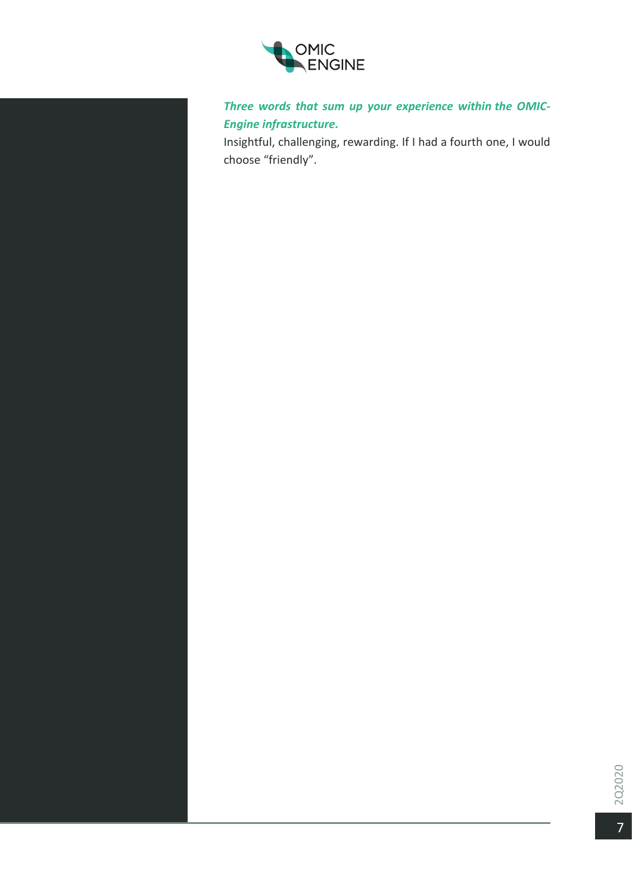

*Three words that sum up your experience within the OMIC-Engine infrastructure.*

Insightful, challenging, rewarding. If I had a fourth one, I would choose "friendly".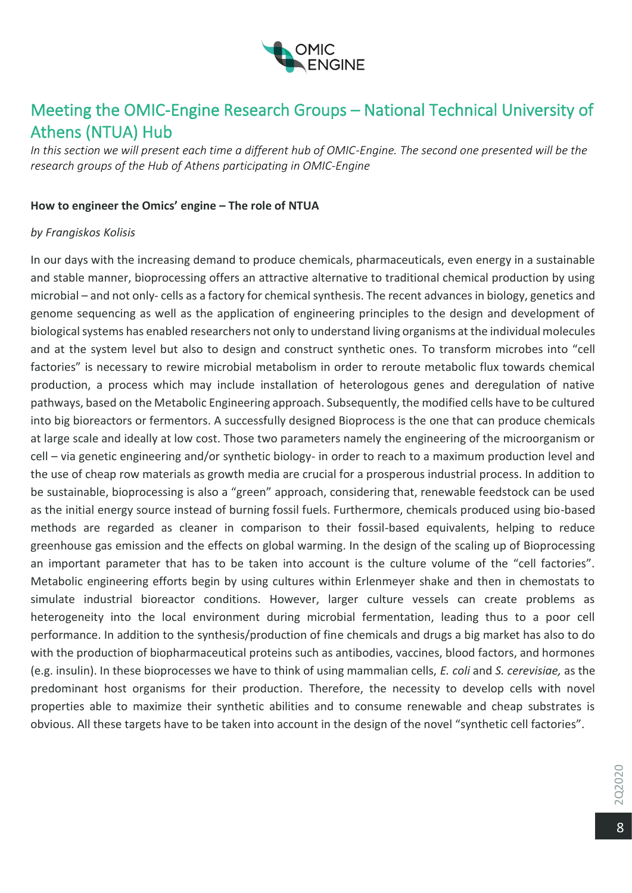

# Meeting the OMIC-Engine Research Groups – National Technical University of Athens (NTUA) Hub

*In this section we will present each time a different hub of OMIC-Engine. The second one presented will be the research groups of the Hub of Athens participating in OMIC-Engine*

## **Ηow to engineer the Οmics' engine – Τhe role of NTUA**

## *by Frangiskos Kolisis*

In our days with the increasing demand to produce chemicals, pharmaceuticals, even energy in a sustainable and stable manner, bioprocessing offers an attractive alternative to traditional chemical production by using microbial – and not only- cells as a factory for chemical synthesis. The recent advances in biology, genetics and genome sequencing as well as the application of engineering principles to the design and development of biological systems has enabled researchers not only to understand living organisms at the individual molecules and at the system level but also to design and construct synthetic ones. To transform microbes into "cell factories" is necessary to rewire microbial metabolism in order to reroute metabolic flux towards chemical production, a process which may include installation of heterologous genes and deregulation of native pathways, based on the Metabolic Engineering approach. Subsequently, the modified cells have to be cultured into big bioreactors or fermentors. A successfully designed Bioprocess is the one that can produce chemicals at large scale and ideally at low cost. Those two parameters namely the engineering of the microorganism or cell – via genetic engineering and/or synthetic biology- in order to reach to a maximum production level and the use of cheap row materials as growth media are crucial for a prosperous industrial process. In addition to be sustainable, bioprocessing is also a "green" approach, considering that, renewable feedstock can be used as the initial energy source instead of burning fossil fuels. Furthermore, chemicals produced using bio-based methods are regarded as cleaner in comparison to their fossil-based equivalents, helping to reduce greenhouse gas emission and the effects on global warming. In the design of the scaling up of Bioprocessing an important parameter that has to be taken into account is the culture volume of the "cell factories". Metabolic engineering efforts begin by using cultures within Erlenmeyer shake and then in chemostats to simulate industrial bioreactor conditions. However, larger culture vessels can create problems as heterogeneity into the local environment during microbial fermentation, leading thus to a poor cell performance. In addition to the synthesis/production of fine chemicals and drugs a big market has also to do with the production of biopharmaceutical proteins such as antibodies, vaccines, blood factors, and hormones (e.g. insulin). In these bioprocesses we have to think of using mammalian cells, *E. coli* and *S. cerevisiae,* as the predominant host organisms for their production. Therefore, the necessity to develop cells with novel properties able to maximize their synthetic abilities and to consume renewable and cheap substrates is obvious. All these targets have to be taken into account in the design of the novel "synthetic cell factories".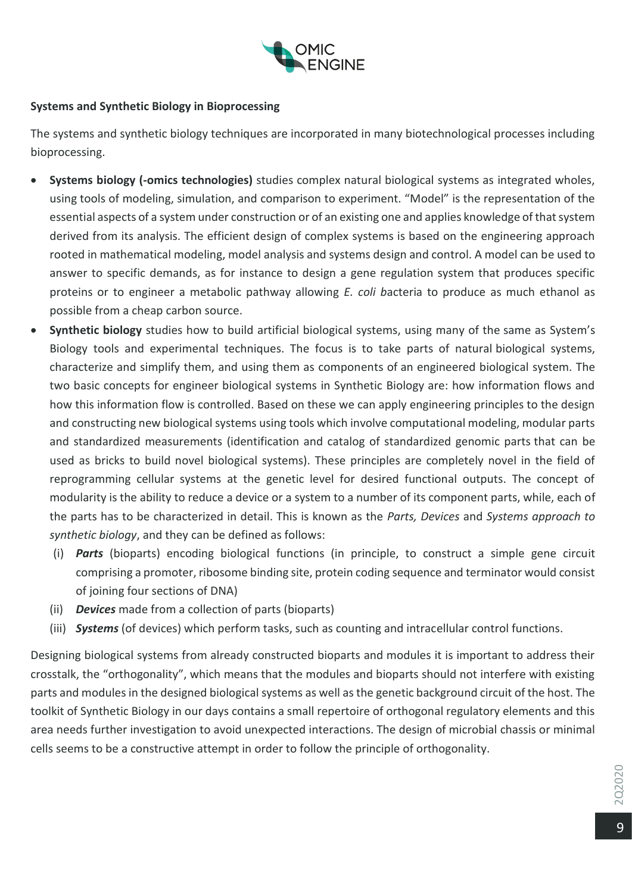

# **Systems and Synthetic Biology in Bioprocessing**

The systems and synthetic biology techniques are incorporated in many biotechnological processes including bioprocessing.

- **Systems biology (-omics technologies)** studies complex natural biological systems as integrated wholes, using tools of modeling, simulation, and comparison to experiment. "Model" is the representation of the essential aspects of a system under construction or of an existing one and applies knowledge of that system derived from its analysis. The efficient design of complex systems is based on the engineering approach rooted in mathematical modeling, model analysis and systems design and control. A model can be used to answer to specific demands, as for instance to design a gene regulation system that produces specific proteins or to engineer a metabolic pathway allowing *E. coli b*acteria to produce as much ethanol as possible from a cheap carbon source.
- **Synthetic biology** studies how to build artificial biological systems, using many of the same as System's Biology tools and experimental techniques. The focus is to take parts of natural biological systems, characterize and simplify them, and using them as components of an engineered biological system. The two basic concepts for engineer biological systems in Synthetic Biology are: how information flows and how this information flow is controlled. Based on these we can apply engineering principles to the design and constructing new biological systems using tools which involve computational modeling, modular parts and standardized measurements (identification and catalog of standardized genomic parts that can be used as bricks to build novel biological systems). These principles are completely novel in the field of reprogramming cellular systems at the genetic level for desired functional outputs. The concept of modularity is the ability to reduce a device or a system to a number of its component parts, while, each of the parts has to be characterized in detail. This is known as the *Parts, Devices* and *Systems approach to synthetic biology*, and they can be defined as follows:
	- (i) *Parts* (bioparts) encoding biological functions (in principle, to construct a simple gene circuit comprising a promoter, ribosome binding site, protein coding sequence and terminator would consist of joining four sections of DNA)
	- (ii) *Devices* made from a collection of parts (bioparts)
	- (iii) *Systems* (of devices) which perform tasks, such as counting and intracellular control functions.

Designing biological systems from already constructed bioparts and modules it is important to address their crosstalk, the "orthogonality", which means that the modules and bioparts should not interfere with existing parts and modules in the designed biological systems as well as the genetic background circuit of the host. The toolkit of Synthetic Biology in our days contains a small repertoire of orthogonal regulatory elements and this area needs further investigation to avoid unexpected interactions. The design of microbial chassis or minimal cells seems to be a constructive attempt in order to follow the principle of orthogonality.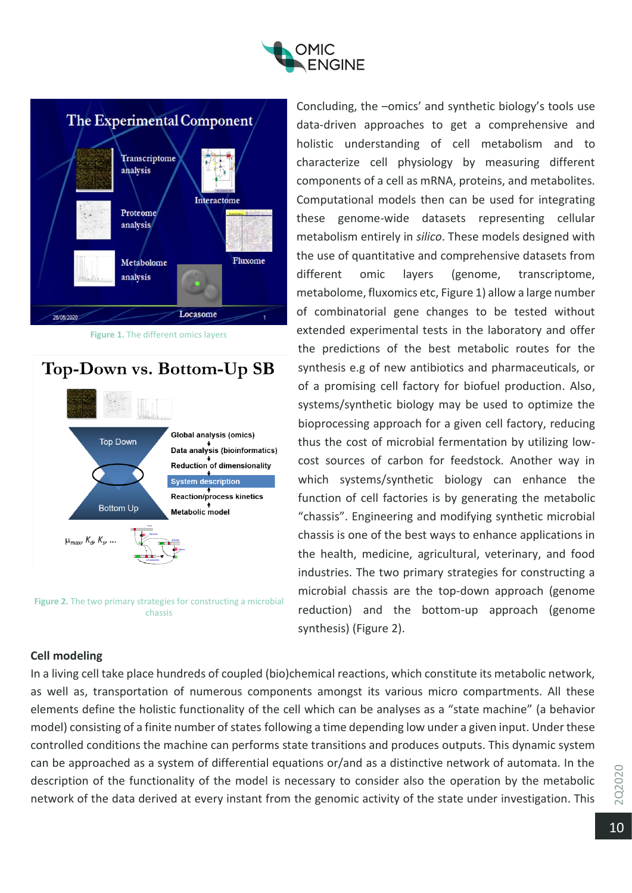



**Figure 1.** The different omics layers





**Figure 2.** The two primary strategies for constructing a microbial chassis

Concluding, the –omics' and synthetic biology's tools use data-driven approaches to get a comprehensive and holistic understanding of cell metabolism and to characterize cell physiology by measuring different components of a cell as mRNA, proteins, and metabolites. Computational models then can be used for integrating these genome-wide datasets representing cellular metabolism entirely in *silico*. These models designed with the use of quantitative and comprehensive datasets from different omic layers (genome, transcriptome, metabolome, fluxomics etc, Figure 1) allow a large number of combinatorial gene changes to be tested without extended experimental tests in the laboratory and offer the predictions of the best metabolic routes for the synthesis e.g of new antibiotics and pharmaceuticals, or of a promising cell factory for biofuel production. Also, systems/synthetic biology may be used to optimize the bioprocessing approach for a given cell factory, reducing thus the cost of microbial fermentation by utilizing lowcost sources of carbon for feedstock. Another way in which systems/synthetic biology can enhance the function of cell factories is by generating the metabolic "chassis". Engineering and modifying synthetic microbial chassis is one of the best ways to enhance applications in the health, medicine, agricultural, veterinary, and food industries. The two primary strategies for constructing a microbial chassis are the top-down approach (genome reduction) and the bottom-up approach (genome synthesis) (Figure 2).

# **Cell modeling**

In a living cell take place hundreds of coupled (bio)chemical reactions, which constitute its metabolic network, as well as, transportation of numerous components amongst its various micro compartments. All these elements define the holistic functionality of the cell which can be analyses as a "state machine" (a behavior model) consisting of a finite number of states following a time depending low under a given input. Under these controlled conditions the machine can performs state transitions and produces outputs. This dynamic system can be approached as a system of differential equations or/and as a distinctive network of automata. In the description of the functionality of the model is necessary to consider also the operation by the metabolic network of the data derived at every instant from the genomic activity of the state under investigation. This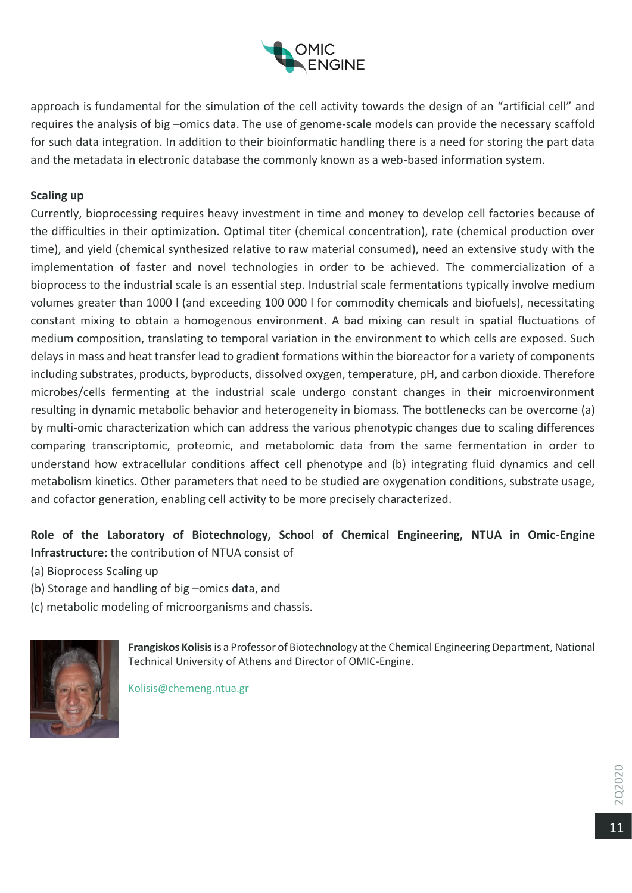

approach is fundamental for the simulation of the cell activity towards the design of an "artificial cell" and requires the analysis of big –omics data. The use of genome-scale models can provide the necessary scaffold for such data integration. In addition to their bioinformatic handling there is a need for storing the part data and the metadata in electronic database the commonly known as a web-based information system.

# **Scaling up**

Currently, bioprocessing requires heavy investment in time and money to develop cell factories because of the difficulties in their optimization. Optimal titer (chemical concentration), rate (chemical production over time), and yield (chemical synthesized relative to raw material consumed), need an extensive study with the implementation of faster and novel technologies in order to be achieved. The commercialization of a bioprocess to the industrial scale is an essential step. Industrial scale fermentations typically involve medium volumes greater than 1000 l (and exceeding 100 000 l for commodity chemicals and biofuels), necessitating constant mixing to obtain a homogenous environment. A bad mixing can result in spatial fluctuations of medium composition, translating to temporal variation in the environment to which cells are exposed. Such delays in mass and heat transfer lead to gradient formations within the bioreactor for a variety of components including substrates, products, byproducts, dissolved oxygen, temperature, pH, and carbon dioxide. Therefore microbes/cells fermenting at the industrial scale undergo constant changes in their microenvironment resulting in dynamic metabolic behavior and heterogeneity in biomass. The bottlenecks can be overcome (a) by multi-omic characterization which can address the various phenotypic changes due to scaling differences comparing transcriptomic, proteomic, and metabolomic data from the same fermentation in order to understand how extracellular conditions affect cell phenotype and (b) integrating fluid dynamics and cell metabolism kinetics. Other parameters that need to be studied are oxygenation conditions, substrate usage, and cofactor generation, enabling cell activity to be more precisely characterized.

# **Role of the Laboratory of Biotechnology, School of Chemical Engineering, NTUA in Omic-Engine Infrastructure:** the contribution of NTUA consist of

- (a) Bioprocess Scaling up
- (b) Storage and handling of big –omics data, and
- (c) metabolic modeling of microorganisms and chassis.



**Frangiskos Kolisis**is a Professor of Biotechnology at the Chemical Engineering Department, National Technical University of Athens and Director of OMIC-Engine.

Kolisis@chemeng.ntua.gr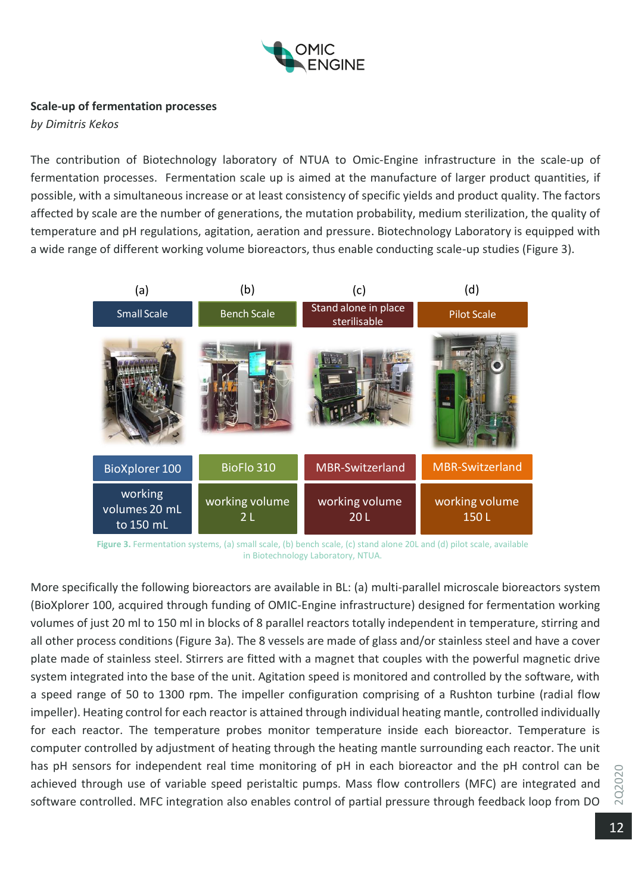

## **Scale-up of fermentation processes**

*by Dimitris Kekos*

The contribution of Biotechnology laboratory of NTUA to Omic-Engine infrastructure in the scale-up of fermentation processes. Fermentation scale up is aimed at the manufacture of larger product quantities, if possible, with a simultaneous increase or at least consistency of specific yields and product quality. The factors affected by scale are the number of generations, the mutation probability, medium sterilization, the quality of temperature and pH regulations, agitation, aeration and pressure. Biotechnology Laboratory is equipped with a wide range of different working volume bioreactors, thus enable conducting scale-up studies (Figure 3).



**Figure 3.** Fermentation systems, (a) small scale, (b) bench scale, (c) stand alone 20L and (d) pilot scale, available in Biotechnology Laboratory, NTUA.

More specifically the following bioreactors are available in BL: (a) multi-parallel microscale bioreactors system (BioXplorer 100, acquired through funding of OMIC-Engine infrastructure) designed for fermentation working volumes of just 20 ml to 150 ml in blocks of 8 parallel reactors totally independent in temperature, stirring and all other process conditions (Figure 3a). The 8 vessels are made of glass and/or stainless steel and have a cover plate made of stainless steel. Stirrers are fitted with a magnet that couples with the powerful magnetic drive system integrated into the base of the unit. Agitation speed is monitored and controlled by the software, with a speed range of 50 to 1300 rpm. The impeller configuration comprising of a Rushton turbine (radial flow impeller). Heating control for each reactor is attained through individual heating mantle, controlled individually for each reactor. The temperature probes monitor temperature inside each bioreactor. Temperature is computer controlled by adjustment of heating through the heating mantle surrounding each reactor. The unit has pH sensors for independent real time monitoring of pH in each bioreactor and the pH control can be achieved through use of variable speed peristaltic pumps. Mass flow controllers (MFC) are integrated and software controlled. MFC integration also enables control of partial pressure through feedback loop from DO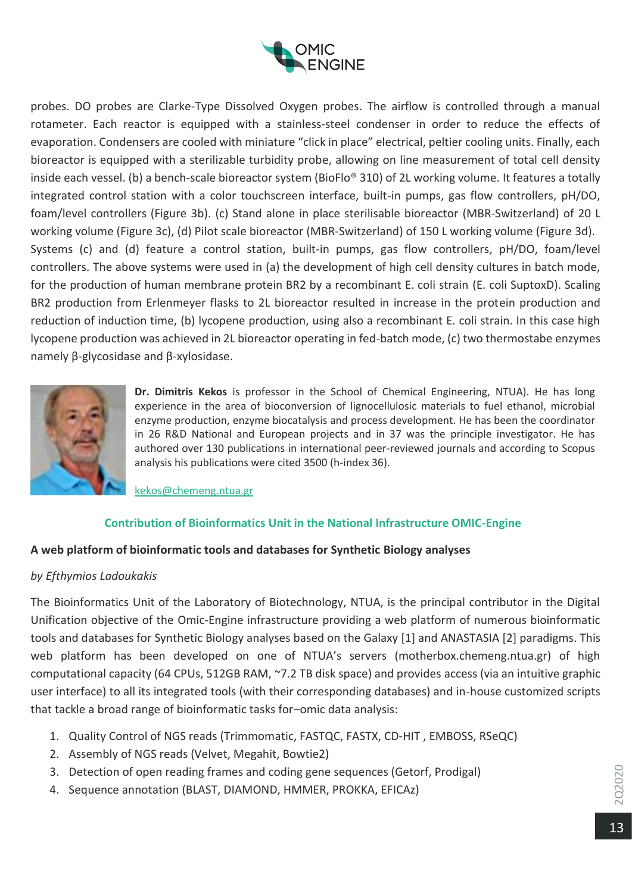

probes. DO probes are Clarke-Type Dissolved Oxygen probes. The airflow is controlled through a manual rotameter. Each reactor is equipped with a stainless-steel condenser in order to reduce the effects of evaporation. Condensers are cooled with miniature "click in place" electrical, peltier cooling units. Finally, each bioreactor is equipped with a sterilizable turbidity probe, allowing on line measurement of total cell density inside each vessel. (b) a bench-scale bioreactor system (BioFlo® 310) of 2L working volume. It features a totally integrated control station with a color touchscreen interface, built-in pumps, gas flow controllers, pH/DO, foam/level controllers (Figure 3b). (c) Stand alone in place sterilisable bioreactor (MBR-Switzerland) of 20 L working volume (Figure 3c), (d) Pilot scale bioreactor (MBR-Switzerland) of 150 L working volume (Figure 3d). Systems (c) and (d) feature a control station, built-in pumps, gas flow controllers, pH/DO, foam/level controllers. The above systems were used in (a) the development of high cell density cultures in batch mode, for the production of human membrane protein BR2 by a recombinant E. coli strain (E. coli SuptoxD). Scaling BR2 production from Erlenmeyer flasks to 2L bioreactor resulted in increase in the protein production and reduction of induction time, (b) lycopene production, using also a recombinant E. coli strain. In this case high lycopene production was achieved in 2L bioreactor operating in fed-batch mode, (c) two thermostabe enzymes namely β-glycosidase and β-xylosidase.



**Dr. Dimitris Kekos** is professor in the School of Chemical Engineering, NTUA). He has long experience in the area of bioconversion of lignocellulosic materials to fuel ethanol, microbial enzyme production, enzyme biocatalysis and process development. He has been the coordinator in 26 R&D National and European projects and in 37 was the principle investigator. He has authored over 130 publications in international peer-reviewed journals and according to Scopus analysis his publications were cited 3500 (h-index 36).

[kekos@chemeng.ntua.gr](mailto:kekos@chemeng.ntua.gr)

## **Contribution of Bioinformatics Unit in the National Infrastructure OMIC-Engine**

## **A web platform of bioinformatic tools and databases for Synthetic Biology analyses**

## *by Efthymios Ladoukakis*

The Bioinformatics Unit of the Laboratory of Biotechnology, NTUA, is the principal contributor in the Digital Unification objective of the Omic-Engine infrastructure providing a web platform of numerous bioinformatic tools and databases for Synthetic Biology analyses based on the Galaxy [1] and ANASTASIA [2] paradigms. This web platform has been developed on one of NTUA's servers (motherbox.chemeng.ntua.gr) of high computational capacity (64 CPUs, 512GB RAM, ~7.2 TB disk space) and provides access (via an intuitive graphic user interface) to all its integrated tools (with their corresponding databases) and in-house customized scripts that tackle a broad range of bioinformatic tasks for–omic data analysis:

- 1. Quality Control of NGS reads (Trimmomatic, FASTQC, FASTX, CD-HIT , EMBOSS, RSeQC)
- 2. Assembly of NGS reads (Velvet, Megahit, Bowtie2)
- 3. Detection of open reading frames and coding gene sequences (Getorf, Prodigal)
- 4. Sequence annotation (BLAST, DIAMOND, HMMER, PROKKA, EFICAz)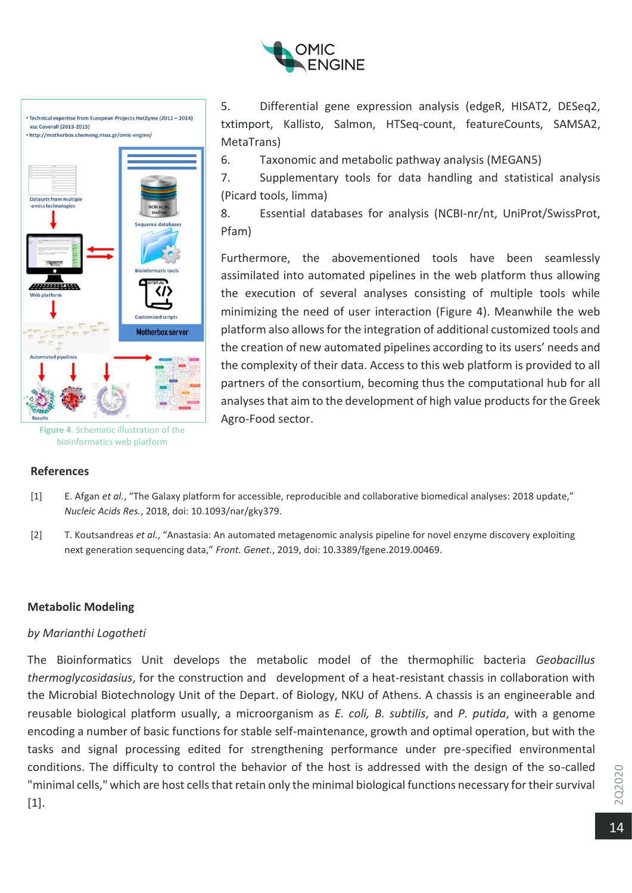

• Technical expertise from European Projects HotZyme (2011 - 2014) KOL Coverall (2013-2015) • http://motherbox.chemeng.ntua.gr/omic-engine/ Datasets from multiple nologies ANTER HA **Veb platform** Customized scripts **Motherbox server** ated pipeli

**Figure 4**. Schematic illustration of the bioinformatics web platform

## **References**

5. Differential gene expression analysis (edgeR, HISAT2, DESeq2, txtimport, Kallisto, Salmon, HTSeq-count, featureCounts, SAMSA2, MetaTrans)

6. Taxonomic and metabolic pathway analysis (MEGAN5)

7. Supplementary tools for data handling and statistical analysis (Picard tools, limma)

8. Essential databases for analysis (NCBI-nr/nt, UniProt/SwissProt, Pfam)

Furthermore, the abovementioned tools have been seamlessly assimilated into automated pipelines in the web platform thus allowing the execution of several analyses consisting of multiple tools while minimizing the need of user interaction (Figure 4). Meanwhile the web platform also allows for the integration of additional customized tools and the creation of new automated pipelines according to its users' needs and the complexity of their data. Access to this web platform is provided to all partners of the consortium, becoming thus the computational hub for all analyses that aim to the development of high value products for the Greek Agro-Food sector.

- [1] E. Afgan *et al.*, "The Galaxy platform for accessible, reproducible and collaborative biomedical analyses: 2018 update," *Nucleic Acids Res.*, 2018, doi: 10.1093/nar/gky379.
- [2] T. Koutsandreas *et al.*, "Anastasia: An automated metagenomic analysis pipeline for novel enzyme discovery exploiting next generation sequencing data," *Front. Genet.*, 2019, doi: 10.3389/fgene.2019.00469.

## **Metabolic Modeling**

## *by Marianthi Logotheti*

The Bioinformatics Unit develops the metabolic model of the thermophilic bacteria *Geobacillus thermoglycosidasius*, for the construction and development of a heat-resistant chassis in collaboration with the Microbial Biotechnology Unit of the Depart. of Biology, NKU of Athens. A chassis is an engineerable and reusable biological platform usually, a microorganism as *E. coli, B. subtilis*, and *P. putida*, with a genome encoding a number of basic functions for stable self-maintenance, growth and optimal operation, but with the tasks and signal processing edited for strengthening performance under pre-specified environmental conditions. The difficulty to control the behavior of the host is addressed with the design of the so-called "minimal cells," which are host cells that retain only the minimal biological functions necessary for their survival [1].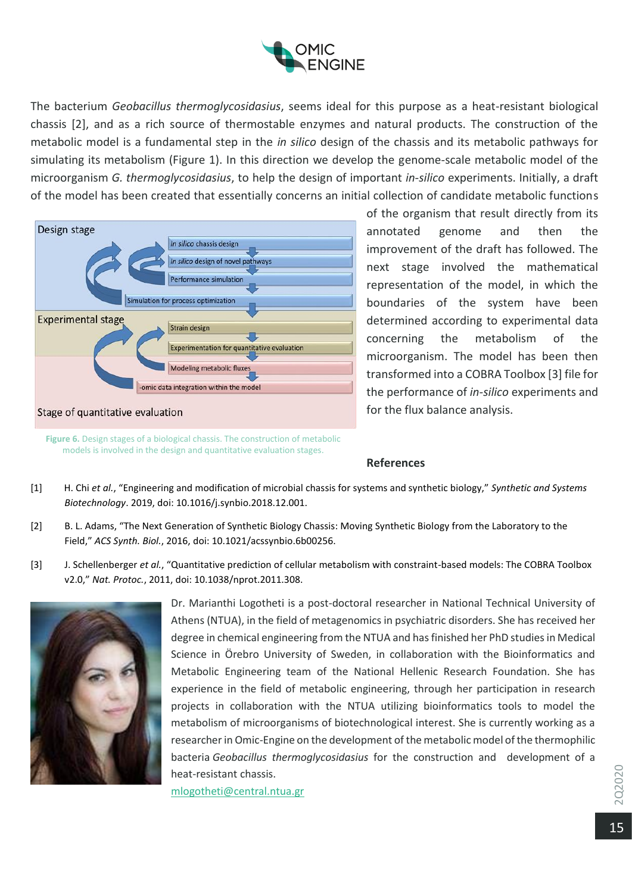

The bacterium *Geobacillus thermoglycosidasius*, seems ideal for this purpose as a heat-resistant biological chassis [2], and as a rich source of thermostable enzymes and natural products. The construction of the metabolic model is a fundamental step in the *in silico* design of the chassis and its metabolic pathways for simulating its metabolism (Figure 1). In this direction we develop the genome-scale metabolic model of the microorganism *G. thermoglycosidasius*, to help the design of important *in-silico* experiments. Initially, a draft of the model has been created that essentially concerns an initial collection of candidate metabolic functions



of the organism that result directly from its annotated genome and then the improvement of the draft has followed. The next stage involved the mathematical representation of the model, in which the boundaries of the system have been determined according to experimental data concerning the metabolism of the microorganism. The model has been then transformed into a COBRA Toolbox [3] file for the performance of *in-silico* experiments and for the flux balance analysis.

**Figure 6.** Design stages of a biological chassis. The construction of metabolic models is involved in the design and quantitative evaluation stages.

#### **References**

- [1] H. Chi *et al.*, "Engineering and modification of microbial chassis for systems and synthetic biology," *Synthetic and Systems Biotechnology*. 2019, doi: 10.1016/j.synbio.2018.12.001.
- [2] B. L. Adams, "The Next Generation of Synthetic Biology Chassis: Moving Synthetic Biology from the Laboratory to the Field," *ACS Synth. Biol.*, 2016, doi: 10.1021/acssynbio.6b00256.
- [3] J. Schellenberger *et al.*, "Quantitative prediction of cellular metabolism with constraint-based models: The COBRA Toolbox v2.0," *Nat. Protoc.*, 2011, doi: 10.1038/nprot.2011.308.



Dr. Μarianthi Logotheti is a post-doctoral researcher in National Technical University of Athens (NTUA), in the field of metagenomics in psychiatric disorders. She has received her degree in chemical engineering from the NTUA and has finished her PhD studies in Medical Science in Örebro University of Sweden, in collaboration with the Bioinformatics and Metabolic Engineering team of the National Hellenic Research Foundation. She has experience in the field of metabolic engineering, through her participation in research projects in collaboration with the NTUA utilizing bioinformatics tools to model the metabolism of microorganisms of biotechnological interest. She is currently working as a researcher in Omic-Engine on the development of the metabolic model of the thermophilic bacteria *Geobacillus thermoglycosidasius* for the construction and development of a heat-resistant chassis.

[mlogotheti@central.ntua.gr](mailto:mlogotheti@central.ntua.gr)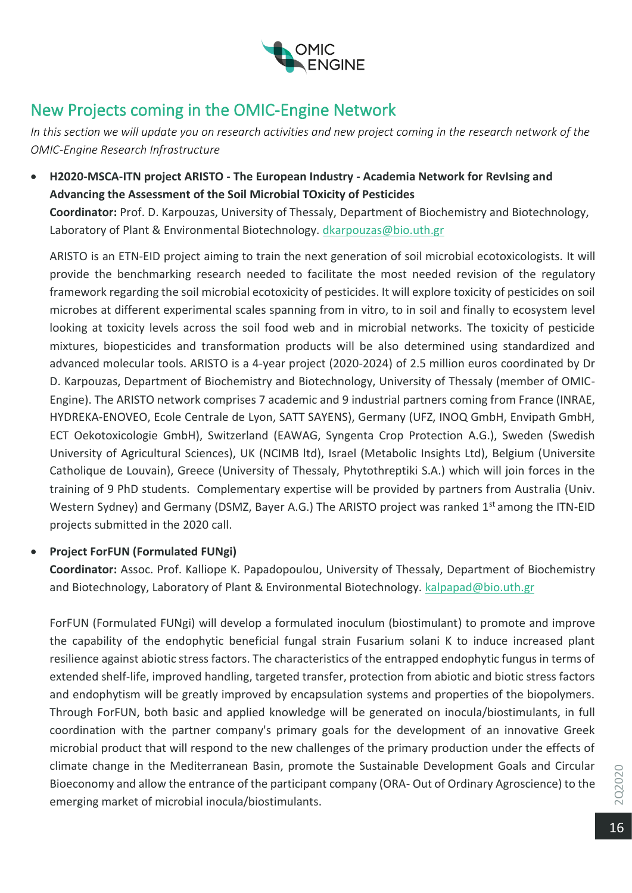

# New Projects coming in the OMIC-Engine Network

In this section we will update you on research activities and new project coming in the research network of the *OMIC-Engine Research Infrastructure*

• **H2020-MSCA-ITN project ARISTO - The European Industry - Academia Network for RevIsing and Advancing the Assessment of the Soil Microbial TOxicity of Pesticides**

**Coordinator:** Prof. D. Karpouzas, University of Thessaly, Department of Biochemistry and Biotechnology, Laboratory of Plant & Environmental Biotechnology. [dkarpouzas@bio.uth.gr](mailto:dkarpouzas@bio.uth.gr)

ARISTO is an ETN-EID project aiming to train the next generation of soil microbial ecotoxicologists. It will provide the benchmarking research needed to facilitate the most needed revision of the regulatory framework regarding the soil microbial ecotoxicity of pesticides. It will explore toxicity of pesticides on soil microbes at different experimental scales spanning from in vitro, to in soil and finally to ecosystem level looking at toxicity levels across the soil food web and in microbial networks. The toxicity of pesticide mixtures, biopesticides and transformation products will be also determined using standardized and advanced molecular tools. ARISTO is a 4-year project (2020-2024) of 2.5 million euros coordinated by Dr D. Karpouzas, Department of Biochemistry and Biotechnology, University of Thessaly (member of OMIC-Engine). The ARISTO network comprises 7 academic and 9 industrial partners coming from France (INRAE, HYDREKA-ENOVEO, Ecole Centrale de Lyon, SATT SAYENS), Germany (UFZ, INOQ GmbH, Envipath GmbH, ECT Oekotoxicologie GmbH), Switzerland (EAWAG, Syngenta Crop Protection A.G.), Sweden (Swedish University of Agricultural Sciences), UK (NCIMB ltd), Israel (Metabolic Insights Ltd), Belgium (Universite Catholique de Louvain), Greece (University of Thessaly, Phytothreptiki S.A.) which will join forces in the training of 9 PhD students. Complementary expertise will be provided by partners from Australia (Univ. Western Sydney) and Germany (DSMZ, Bayer A.G.) The ARISTO project was ranked 1<sup>st</sup> among the ITN-EID projects submitted in the 2020 call.

# • **Project ForFUN (Formulated FUNgi)**

**Coordinator:** Assoc. Prof. Kalliope K. Papadopoulou, University of Thessaly, Department of Biochemistry and Biotechnology, Laboratory of Plant & Environmental Biotechnology. [kalpapad@bio.uth.gr](mailto:kalpapad@bio.uth.gr)

ForFUN (Formulated FUNgi) will develop a formulated inoculum (biostimulant) to promote and improve the capability of the endophytic beneficial fungal strain Fusarium solani K to induce increased plant resilience against abiotic stress factors. The characteristics of the entrapped endophytic fungus in terms of extended shelf-life, improved handling, targeted transfer, protection from abiotic and biotic stress factors and endophytism will be greatly improved by encapsulation systems and properties of the biopolymers. Through ForFUN, both basic and applied knowledge will be generated on inocula/biostimulants, in full coordination with the partner company's primary goals for the development of an innovative Greek microbial product that will respond to the new challenges of the primary production under the effects of climate change in the Mediterranean Basin, promote the Sustainable Development Goals and Circular Bioeconomy and allow the entrance of the participant company (ORA- Out of Ordinary Agroscience) to the emerging market of microbial inocula/biostimulants.